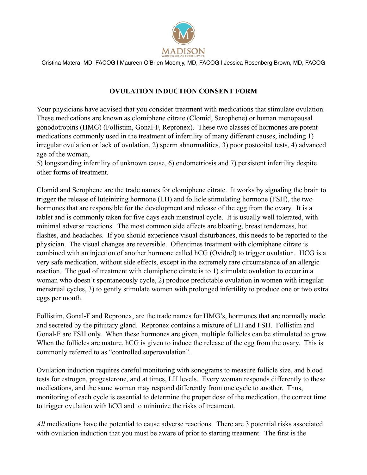

## **OVULATION INDUCTION CONSENT FORM**

Your physicians have advised that you consider treatment with medications that stimulate ovulation. These medications are known as clomiphene citrate (Clomid, Serophene) or human menopausal gonodotropins (HMG) (Follistim, Gonal-F, Repronex). These two classes of hormones are potent medications commonly used in the treatment of infertility of many different causes, including 1) irregular ovulation or lack of ovulation, 2) sperm abnormalities, 3) poor postcoital tests, 4) advanced age of the woman,

5) longstanding infertility of unknown cause, 6) endometriosis and 7) persistent infertility despite other forms of treatment.

Clomid and Serophene are the trade names for clomiphene citrate. It works by signaling the brain to trigger the release of luteinizing hormone (LH) and follicle stimulating hormone (FSH), the two hormones that are responsible for the development and release of the egg from the ovary. It is a tablet and is commonly taken for five days each menstrual cycle. It is usually well tolerated, with minimal adverse reactions. The most common side effects are bloating, breast tenderness, hot flashes, and headaches. If you should experience visual disturbances, this needs to be reported to the physician. The visual changes are reversible. Oftentimes treatment with clomiphene citrate is combined with an injection of another hormone called hCG (Ovidrel) to trigger ovulation. HCG is a very safe medication, without side effects, except in the extremely rare circumstance of an allergic reaction. The goal of treatment with clomiphene citrate is to 1) stimulate ovulation to occur in a woman who doesn't spontaneously cycle, 2) produce predictable ovulation in women with irregular menstrual cycles, 3) to gently stimulate women with prolonged infertility to produce one or two extra eggs per month.

Follistim, Gonal-F and Repronex, are the trade names for HMG's, hormones that are normally made and secreted by the pituitary gland. Repronex contains a mixture of LH and FSH. Follistim and Gonal-F are FSH only. When these hormones are given, multiple follicles can be stimulated to grow. When the follicles are mature, hCG is given to induce the release of the egg from the ovary. This is commonly referred to as "controlled superovulation".

Ovulation induction requires careful monitoring with sonograms to measure follicle size, and blood tests for estrogen, progesterone, and at times, LH levels. Every woman responds differently to these medications, and the same woman may respond differently from one cycle to another. Thus, monitoring of each cycle is essential to determine the proper dose of the medication, the correct time to trigger ovulation with hCG and to minimize the risks of treatment.

*All* medications have the potential to cause adverse reactions. There are 3 potential risks associated with ovulation induction that you must be aware of prior to starting treatment. The first is the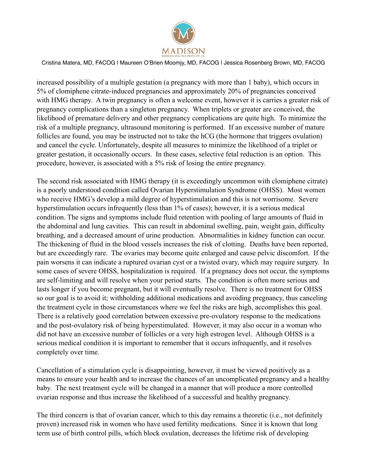

increased possibility of a multiple gestation (a pregnancy with more than 1 baby), which occurs in 5% of clomiphene citrate-induced pregnancies and approximately 20% of pregnancies conceived with HMG therapy. A twin pregnancy is often a welcome event, however it is carries a greater risk of pregnancy complications than a singleton pregnancy. When triplets or greater are conceived, the likelihood of premature delivery and other pregnancy complications are quite high. To minimize the risk of a multiple pregnancy, ultrasound monitoring is performed. If an excessive number of mature follicles are found, you may be instructed not to take the hCG (the hormone that triggers ovulation) and cancel the cycle. Unfortunately, despite all measures to minimize the likelihood of a triplet or greater gestation, it occasionally occurs. In these cases, selective fetal reduction is an option. This procedure, however, is associated with a 5% risk of losing the entire pregnancy.

The second risk associated with HMG therapy (it is exceedingly uncommon with clomiphene citrate) is a poorly understood condition called Ovarian Hyperstimulation Syndrome (OHSS). Most women who receive HMG's develop a mild degree of hyperstimulation and this is not worrisome. Severe hyperstimulation occurs infrequently (less than 1% of cases); however, it is a serious medical condition. The signs and symptoms include fluid retention with pooling of large amounts of fluid in the abdominal and lung cavities. This can result in abdominal swelling, pain, weight gain, difficulty breathing, and a decreased amount of urine production. Abnormalities in kidney function can occur. The thickening of fluid in the blood vessels increases the risk of clotting. Deaths have been reported, but are exceedingly rare. The ovaries may become quite enlarged and cause pelvic discomfort. If the pain worsens it can indicate a ruptured ovarian cyst or a twisted ovary, which may require surgery. In some cases of severe OHSS, hospitalization is required. If a pregnancy does not occur, the symptoms are self-limiting and will resolve when your period starts. The condition is often more serious and lasts longer if you become pregnant, but it will eventually resolve. There is no treatment for OHSS so our goal is to avoid it; withholding additional medications and avoiding pregnancy, thus canceling the treatment cycle in those circumstances where we feel the risks are high, accomplishes this goal. There is a relatively good correlation between excessive pre-ovulatory response to the medications and the post-ovulatory risk of being hyperstimulated. However, it may also occur in a woman who did not have an excessive number of follicles or a very high estrogen level. Although OHSS is a serious medical condition it is important to remember that it occurs infrequently, and it resolves completely over time.

Cancellation of a stimulation cycle is disappointing, however, it must be viewed positively as a means to ensure your health and to increase the chances of an uncomplicated pregnancy and a healthy baby. The next treatment cycle will be changed in a manner that will produce a more controlled ovarian response and thus increase the likelihood of a successful and healthy pregnancy.

The third concern is that of ovarian cancer, which to this day remains a theoretic (i.e., not definitely proven) increased risk in women who have used fertility medications. Since it is known that long term use of birth control pills, which block ovulation, decreases the lifetime risk of developing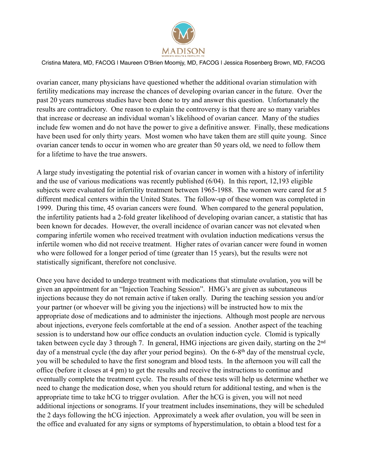

ovarian cancer, many physicians have questioned whether the additional ovarian stimulation with fertility medications may increase the chances of developing ovarian cancer in the future. Over the past 20 years numerous studies have been done to try and answer this question. Unfortunately the results are contradictory. One reason to explain the controversy is that there are so many variables that increase or decrease an individual woman's likelihood of ovarian cancer. Many of the studies include few women and do not have the power to give a definitive answer. Finally, these medications have been used for only thirty years. Most women who have taken them are still quite young. Since ovarian cancer tends to occur in women who are greater than 50 years old, we need to follow them for a lifetime to have the true answers.

A large study investigating the potential risk of ovarian cancer in women with a history of infertility and the use of various medications was recently published (6/04). In this report, 12,193 eligible subjects were evaluated for infertility treatment between 1965-1988. The women were cared for at 5 different medical centers within the United States. The follow-up of these women was completed in 1999. During this time, 45 ovarian cancers were found. When compared to the general population, the infertility patients had a 2-fold greater likelihood of developing ovarian cancer, a statistic that has been known for decades. However, the overall incidence of ovarian cancer was not elevated when comparing infertile women who received treatment with ovulation induction medications versus the infertile women who did not receive treatment. Higher rates of ovarian cancer were found in women who were followed for a longer period of time (greater than 15 years), but the results were not statistically significant, therefore not conclusive.

Once you have decided to undergo treatment with medications that stimulate ovulation, you will be given an appointment for an "Injection Teaching Session". HMG's are given as subcutaneous injections because they do not remain active if taken orally. During the teaching session you and/or your partner (or whoever will be giving you the injections) will be instructed how to mix the appropriate dose of medications and to administer the injections. Although most people are nervous about injections, everyone feels comfortable at the end of a session. Another aspect of the teaching session is to understand how our office conducts an ovulation induction cycle. Clomid is typically taken between cycle day 3 through 7. In general, HMG injections are given daily, starting on the 2<sup>nd</sup> day of a menstrual cycle (the day after your period begins). On the 6-8<sup>th</sup> day of the menstrual cycle, you will be scheduled to have the first sonogram and blood tests. In the afternoon you will call the office (before it closes at 4 pm) to get the results and receive the instructions to continue and eventually complete the treatment cycle. The results of these tests will help us determine whether we need to change the medication dose, when you should return for additional testing, and when is the appropriate time to take hCG to trigger ovulation. After the hCG is given, you will not need additional injections or sonograms. If your treatment includes inseminations, they will be scheduled the 2 days following the hCG injection. Approximately a week after ovulation, you will be seen in the office and evaluated for any signs or symptoms of hyperstimulation, to obtain a blood test for a